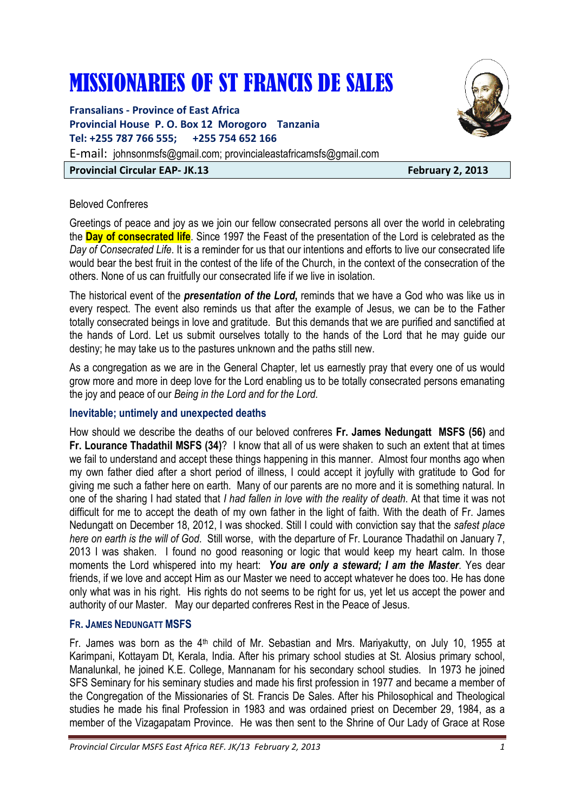# MISSIONARIES OF ST FRANCIS DE SALES

**Fransalians - Province of East Africa Provincial House P. O. Box 12 Morogoro Tanzania Tel: +255 787 766 555; +255 754 652 166**  E-mail: johnsonmsfs@gmail.com; provincialeastafricamsfs@gmail.com

### **Provincial Circular EAP- JK.13 February 2, 2013**

### Beloved Confreres

Greetings of peace and joy as we join our fellow consecrated persons all over the world in celebrating the **Day of consecrated life**. Since 1997 the Feast of the presentation of the Lord is celebrated as the *Day of Consecrated Life*. It is a reminder for us that our intentions and efforts to live our consecrated life would bear the best fruit in the contest of the life of the Church, in the context of the consecration of the others. None of us can fruitfully our consecrated life if we live in isolation.

The historical event of the *presentation of the Lord***,** reminds that we have a God who was like us in every respect. The event also reminds us that after the example of Jesus, we can be to the Father totally consecrated beings in love and gratitude. But this demands that we are purified and sanctified at the hands of Lord. Let us submit ourselves totally to the hands of the Lord that he may guide our destiny; he may take us to the pastures unknown and the paths still new.

As a congregation as we are in the General Chapter, let us earnestly pray that every one of us would grow more and more in deep love for the Lord enabling us to be totally consecrated persons emanating the joy and peace of our *Being in the Lord and for the Lord.* 

# **Inevitable; untimely and unexpected deaths**

How should we describe the deaths of our beloved confreres **Fr. James Nedungatt MSFS (56)** and **Fr. Lourance Thadathil MSFS (34)**? I know that all of us were shaken to such an extent that at times we fail to understand and accept these things happening in this manner. Almost four months ago when my own father died after a short period of illness, I could accept it joyfully with gratitude to God for giving me such a father here on earth. Many of our parents are no more and it is something natural. In one of the sharing I had stated that *I had fallen in love with the reality of death*. At that time it was not difficult for me to accept the death of my own father in the light of faith. With the death of Fr. James Nedungatt on December 18, 2012, I was shocked. Still I could with conviction say that the *safest place here on earth is the will of God*. Still worse, with the departure of Fr. Lourance Thadathil on January 7, 2013 I was shaken. I found no good reasoning or logic that would keep my heart calm. In those moments the Lord whispered into my heart: *You are only a steward; I am the Master*. Yes dear friends, if we love and accept Him as our Master we need to accept whatever he does too. He has done only what was in his right. His rights do not seems to be right for us, yet let us accept the power and authority of our Master. May our departed confreres Rest in the Peace of Jesus.

### **FR. JAMES NEDUNGATT MSFS**

Fr. James was born as the 4<sup>th</sup> child of Mr. Sebastian and Mrs. Mariyakutty, on July 10, 1955 at Karimpani, Kottayam Dt, Kerala, India. After his primary school studies at St. Alosius primary school, Manalunkal, he joined K.E. College, Mannanam for his secondary school studies. In 1973 he joined SFS Seminary for his seminary studies and made his first profession in 1977 and became a member of the Congregation of the Missionaries of St. Francis De Sales. After his Philosophical and Theological studies he made his final Profession in 1983 and was ordained priest on December 29, 1984, as a member of the Vizagapatam Province. He was then sent to the Shrine of Our Lady of Grace at Rose

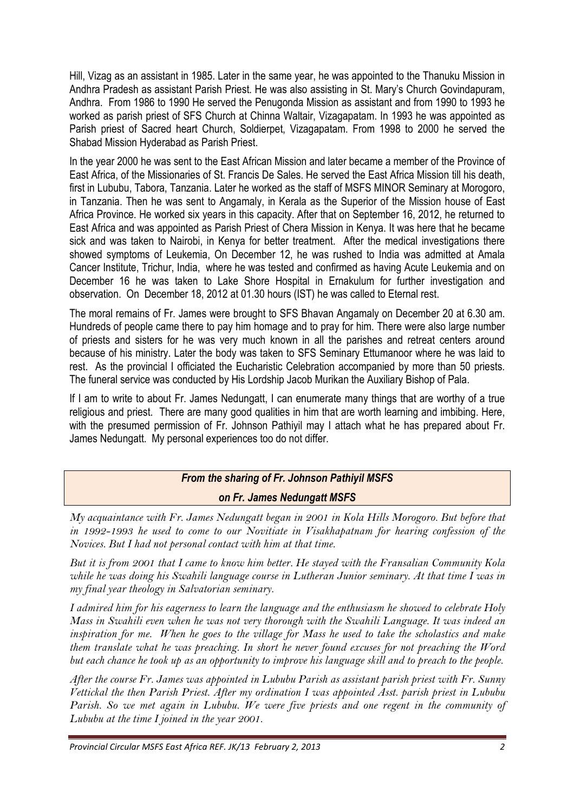Hill, Vizag as an assistant in 1985. Later in the same year, he was appointed to the Thanuku Mission in Andhra Pradesh as assistant Parish Priest. He was also assisting in St. Mary's Church Govindapuram, Andhra. From 1986 to 1990 He served the Penugonda Mission as assistant and from 1990 to 1993 he worked as parish priest of SFS Church at Chinna Waltair, Vizagapatam. In 1993 he was appointed as Parish priest of Sacred heart Church, Soldierpet, Vizagapatam. From 1998 to 2000 he served the Shabad Mission Hyderabad as Parish Priest.

In the year 2000 he was sent to the East African Mission and later became a member of the Province of East Africa, of the Missionaries of St. Francis De Sales. He served the East Africa Mission till his death, first in Lububu, Tabora, Tanzania. Later he worked as the staff of MSFS MINOR Seminary at Morogoro, in Tanzania. Then he was sent to Angamaly, in Kerala as the Superior of the Mission house of East Africa Province. He worked six years in this capacity. After that on September 16, 2012, he returned to East Africa and was appointed as Parish Priest of Chera Mission in Kenya. It was here that he became sick and was taken to Nairobi, in Kenya for better treatment. After the medical investigations there showed symptoms of Leukemia, On December 12, he was rushed to India was admitted at Amala Cancer Institute, Trichur, India, where he was tested and confirmed as having Acute Leukemia and on December 16 he was taken to Lake Shore Hospital in Ernakulum for further investigation and observation. On December 18, 2012 at 01.30 hours (IST) he was called to Eternal rest.

The moral remains of Fr. James were brought to SFS Bhavan Angamaly on December 20 at 6.30 am. Hundreds of people came there to pay him homage and to pray for him. There were also large number of priests and sisters for he was very much known in all the parishes and retreat centers around because of his ministry. Later the body was taken to SFS Seminary Ettumanoor where he was laid to rest. As the provincial I officiated the Eucharistic Celebration accompanied by more than 50 priests. The funeral service was conducted by His Lordship Jacob Murikan the Auxiliary Bishop of Pala.

If I am to write to about Fr. James Nedungatt, I can enumerate many things that are worthy of a true religious and priest. There are many good qualities in him that are worth learning and imbibing. Here, with the presumed permission of Fr. Johnson Pathiyil may I attach what he has prepared about Fr. James Nedungatt. My personal experiences too do not differ.

# *From the sharing of Fr. Johnson Pathiyil MSFS on Fr. James Nedungatt MSFS*

*My acquaintance with Fr. James Nedungatt began in 2001 in Kola Hills Morogoro. But before that in 1992-1993 he used to come to our Novitiate in Visakhapatnam for hearing confession of the Novices. But I had not personal contact with him at that time.* 

*But it is from 2001 that I came to know him better. He stayed with the Fransalian Community Kola while he was doing his Swahili language course in Lutheran Junior seminary. At that time I was in my final year theology in Salvatorian seminary.* 

*I admired him for his eagerness to learn the language and the enthusiasm he showed to celebrate Holy Mass in Swahili even when he was not very thorough with the Swahili Language. It was indeed an inspiration for me. When he goes to the village for Mass he used to take the scholastics and make them translate what he was preaching. In short he never found excuses for not preaching the Word but each chance he took up as an opportunity to improve his language skill and to preach to the people.* 

*After the course Fr. James was appointed in Lububu Parish as assistant parish priest with Fr. Sunny Vettickal the then Parish Priest. After my ordination I was appointed Asst. parish priest in Lububu Parish. So we met again in Lububu. We were five priests and one regent in the community of Lububu at the time I joined in the year 2001.*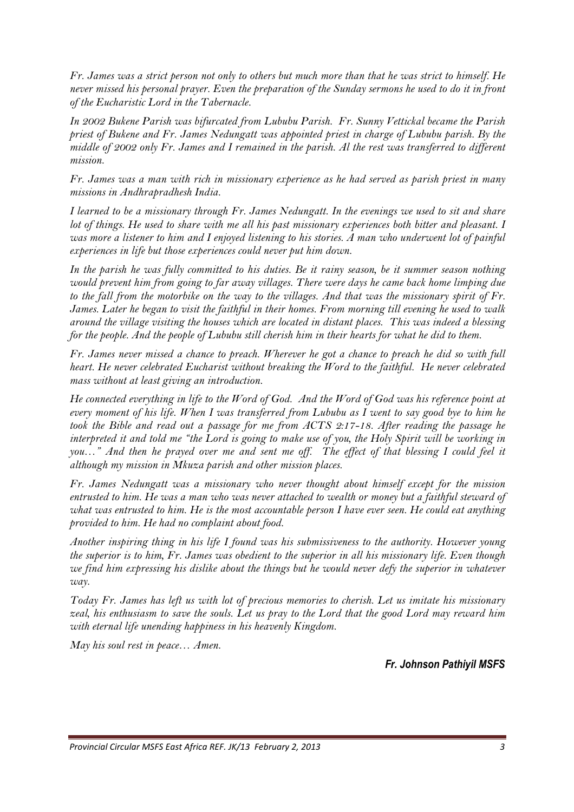*Fr. James was a strict person not only to others but much more than that he was strict to himself. He never missed his personal prayer. Even the preparation of the Sunday sermons he used to do it in front of the Eucharistic Lord in the Tabernacle.* 

*In 2002 Bukene Parish was bifurcated from Lububu Parish. Fr. Sunny Vettickal became the Parish priest of Bukene and Fr. James Nedungatt was appointed priest in charge of Lububu parish. By the middle of 2002 only Fr. James and I remained in the parish. Al the rest was transferred to different mission.* 

*Fr. James was a man with rich in missionary experience as he had served as parish priest in many missions in Andhrapradhesh India.* 

*I learned to be a missionary through Fr. James Nedungatt. In the evenings we used to sit and share lot of things. He used to share with me all his past missionary experiences both bitter and pleasant. I was more a listener to him and I enjoyed listening to his stories. A man who underwent lot of painful experiences in life but those experiences could never put him down.* 

*In the parish he was fully committed to his duties. Be it rainy season, be it summer season nothing would prevent him from going to far away villages. There were days he came back home limping due to the fall from the motorbike on the way to the villages. And that was the missionary spirit of Fr. James. Later he began to visit the faithful in their homes. From morning till evening he used to walk around the village visiting the houses which are located in distant places. This was indeed a blessing for the people. And the people of Lububu still cherish him in their hearts for what he did to them.* 

*Fr. James never missed a chance to preach. Wherever he got a chance to preach he did so with full heart. He never celebrated Eucharist without breaking the Word to the faithful. He never celebrated mass without at least giving an introduction.* 

*He connected everything in life to the Word of God. And the Word of God was his reference point at every moment of his life. When I was transferred from Lububu as I went to say good bye to him he*  took the Bible and read out a passage for me from ACTS 2:17-18. After reading the passage he *interpreted it and told me "the Lord is going to make use of you, the Holy Spirit will be working in you…" And then he prayed over me and sent me off. The effect of that blessing I could feel it although my mission in Mkuza parish and other mission places.* 

*Fr. James Nedungatt was a missionary who never thought about himself except for the mission entrusted to him. He was a man who was never attached to wealth or money but a faithful steward of what was entrusted to him. He is the most accountable person I have ever seen. He could eat anything provided to him. He had no complaint about food.* 

*Another inspiring thing in his life I found was his submissiveness to the authority. However young the superior is to him, Fr. James was obedient to the superior in all his missionary life. Even though* we find him expressing his dislike about the things but he would never defy the superior in whatever *way.* 

*Today Fr. James has left us with lot of precious memories to cherish. Let us imitate his missionary zeal, his enthusiasm to save the souls. Let us pray to the Lord that the good Lord may reward him with eternal life unending happiness in his heavenly Kingdom.* 

*May his soul rest in peace… Amen.*

*Fr. Johnson Pathiyil MSFS*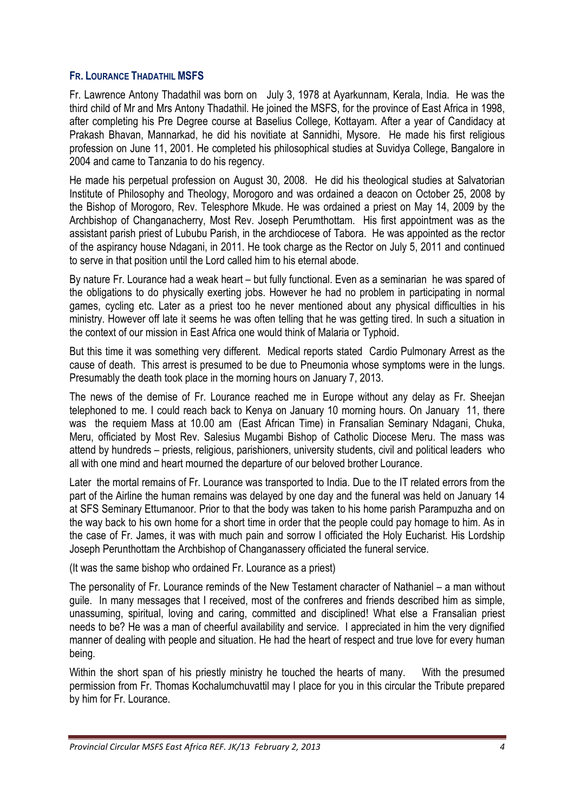# **FR. LOURANCE THADATHIL MSFS**

Fr. Lawrence Antony Thadathil was born on July 3, 1978 at Ayarkunnam, Kerala, India. He was the third child of Mr and Mrs Antony Thadathil. He joined the MSFS, for the province of East Africa in 1998, after completing his Pre Degree course at Baselius College, Kottayam. After a year of Candidacy at Prakash Bhavan, Mannarkad, he did his novitiate at Sannidhi, Mysore. He made his first religious profession on June 11, 2001. He completed his philosophical studies at Suvidya College, Bangalore in 2004 and came to Tanzania to do his regency.

He made his perpetual profession on August 30, 2008. He did his theological studies at Salvatorian Institute of Philosophy and Theology, Morogoro and was ordained a deacon on October 25, 2008 by the Bishop of Morogoro, Rev. Telesphore Mkude. He was ordained a priest on May 14, 2009 by the Archbishop of Changanacherry, Most Rev. Joseph Perumthottam. His first appointment was as the assistant parish priest of Lububu Parish, in the archdiocese of Tabora. He was appointed as the rector of the aspirancy house Ndagani, in 2011. He took charge as the Rector on July 5, 2011 and continued to serve in that position until the Lord called him to his eternal abode.

By nature Fr. Lourance had a weak heart – but fully functional. Even as a seminarian he was spared of the obligations to do physically exerting jobs. However he had no problem in participating in normal games, cycling etc. Later as a priest too he never mentioned about any physical difficulties in his ministry. However off late it seems he was often telling that he was getting tired. In such a situation in the context of our mission in East Africa one would think of Malaria or Typhoid.

But this time it was something very different. Medical reports stated Cardio Pulmonary Arrest as the cause of death. This arrest is presumed to be due to Pneumonia whose symptoms were in the lungs. Presumably the death took place in the morning hours on January 7, 2013.

The news of the demise of Fr. Lourance reached me in Europe without any delay as Fr. Sheejan telephoned to me. I could reach back to Kenya on January 10 morning hours. On January 11, there was the requiem Mass at 10.00 am (East African Time) in Fransalian Seminary Ndagani, Chuka, Meru, officiated by Most Rev. Salesius Mugambi Bishop of Catholic Diocese Meru. The mass was attend by hundreds – priests, religious, parishioners, university students, civil and political leaders who all with one mind and heart mourned the departure of our beloved brother Lourance.

Later the mortal remains of Fr. Lourance was transported to India. Due to the IT related errors from the part of the Airline the human remains was delayed by one day and the funeral was held on January 14 at SFS Seminary Ettumanoor. Prior to that the body was taken to his home parish Parampuzha and on the way back to his own home for a short time in order that the people could pay homage to him. As in the case of Fr. James, it was with much pain and sorrow I officiated the Holy Eucharist. His Lordship Joseph Perunthottam the Archbishop of Changanassery officiated the funeral service.

(It was the same bishop who ordained Fr. Lourance as a priest)

The personality of Fr. Lourance reminds of the New Testament character of Nathaniel – a man without guile. In many messages that I received, most of the confreres and friends described him as simple, unassuming, spiritual, loving and caring, committed and disciplined! What else a Fransalian priest needs to be? He was a man of cheerful availability and service. I appreciated in him the very dignified manner of dealing with people and situation. He had the heart of respect and true love for every human being.

Within the short span of his priestly ministry he touched the hearts of many. With the presumed permission from Fr. Thomas Kochalumchuvattil may I place for you in this circular the Tribute prepared by him for Fr. Lourance.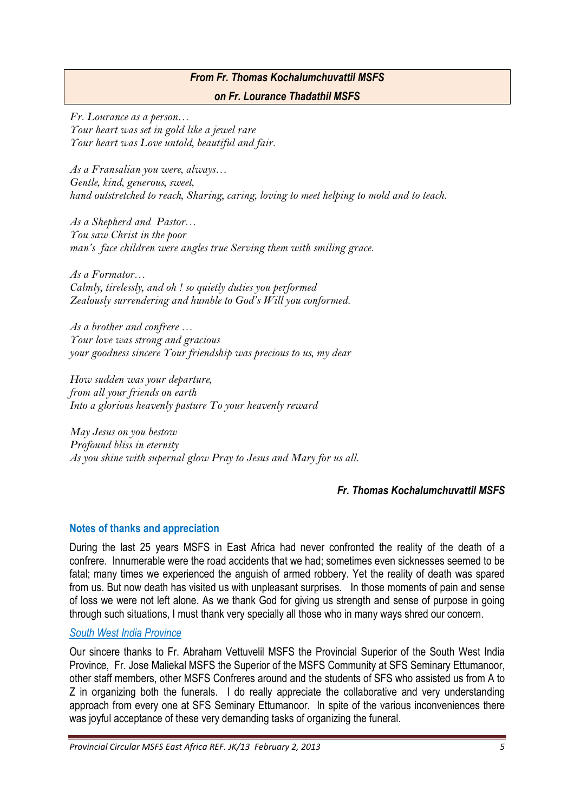# *From Fr. Thomas Kochalumchuvattil MSFS on Fr. Lourance Thadathil MSFS*

*Fr. Lourance as a person… Your heart was set in gold like a jewel rare Your heart was Love untold, beautiful and fair.* 

*As a Fransalian you were, always… Gentle, kind, generous, sweet, hand outstretched to reach, Sharing, caring, loving to meet helping to mold and to teach.* 

*As a Shepherd and Pastor… You saw Christ in the poor man's face children were angles true Serving them with smiling grace.* 

*As a Formator… Calmly, tirelessly, and oh ! so quietly duties you performed Zealously surrendering and humble to God's Will you conformed.* 

*As a brother and confrere … Your love was strong and gracious your goodness sincere Your friendship was precious to us, my dear* 

*How sudden was your departure, from all your friends on earth Into a glorious heavenly pasture To your heavenly reward* 

*May Jesus on you bestow Profound bliss in eternity As you shine with supernal glow Pray to Jesus and Mary for us all.* 

# *Fr. Thomas Kochalumchuvattil MSFS*

# **Notes of thanks and appreciation**

During the last 25 years MSFS in East Africa had never confronted the reality of the death of a confrere. Innumerable were the road accidents that we had; sometimes even sicknesses seemed to be fatal; many times we experienced the anguish of armed robbery. Yet the reality of death was spared from us. But now death has visited us with unpleasant surprises. In those moments of pain and sense of loss we were not left alone. As we thank God for giving us strength and sense of purpose in going through such situations, I must thank very specially all those who in many ways shred our concern.

#### *South West India Province*

Our sincere thanks to Fr. Abraham Vettuvelil MSFS the Provincial Superior of the South West India Province, Fr. Jose Maliekal MSFS the Superior of the MSFS Community at SFS Seminary Ettumanoor, other staff members, other MSFS Confreres around and the students of SFS who assisted us from A to Z in organizing both the funerals. I do really appreciate the collaborative and very understanding approach from every one at SFS Seminary Ettumanoor. In spite of the various inconveniences there was joyful acceptance of these very demanding tasks of organizing the funeral.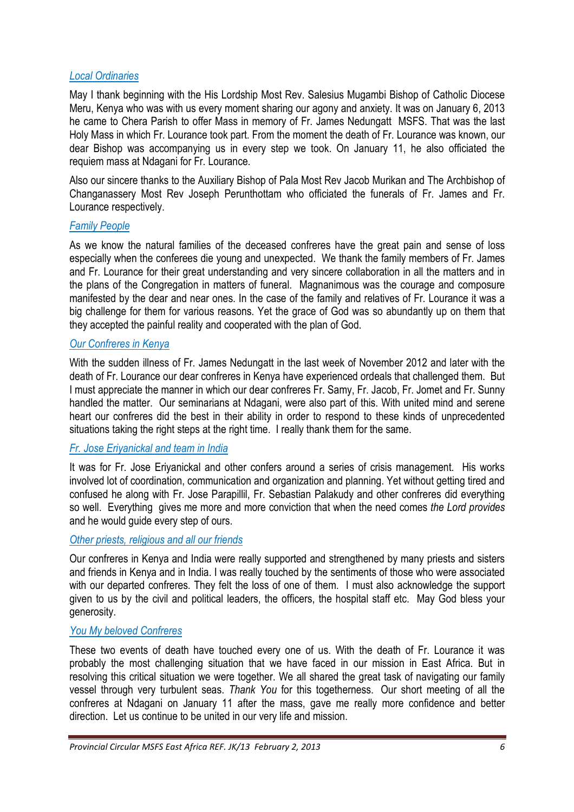#### *Local Ordinaries*

May I thank beginning with the His Lordship Most Rev. Salesius Mugambi Bishop of Catholic Diocese Meru, Kenya who was with us every moment sharing our agony and anxiety. It was on January 6, 2013 he came to Chera Parish to offer Mass in memory of Fr. James Nedungatt MSFS. That was the last Holy Mass in which Fr. Lourance took part. From the moment the death of Fr. Lourance was known, our dear Bishop was accompanying us in every step we took. On January 11, he also officiated the requiem mass at Ndagani for Fr. Lourance.

Also our sincere thanks to the Auxiliary Bishop of Pala Most Rev Jacob Murikan and The Archbishop of Changanassery Most Rev Joseph Perunthottam who officiated the funerals of Fr. James and Fr. Lourance respectively.

#### *Family People*

As we know the natural families of the deceased confreres have the great pain and sense of loss especially when the conferees die young and unexpected. We thank the family members of Fr. James and Fr. Lourance for their great understanding and very sincere collaboration in all the matters and in the plans of the Congregation in matters of funeral. Magnanimous was the courage and composure manifested by the dear and near ones. In the case of the family and relatives of Fr. Lourance it was a big challenge for them for various reasons. Yet the grace of God was so abundantly up on them that they accepted the painful reality and cooperated with the plan of God.

### *Our Confreres in Kenya*

With the sudden illness of Fr. James Nedungatt in the last week of November 2012 and later with the death of Fr. Lourance our dear confreres in Kenya have experienced ordeals that challenged them. But I must appreciate the manner in which our dear confreres Fr. Samy, Fr. Jacob, Fr. Jomet and Fr. Sunny handled the matter. Our seminarians at Ndagani, were also part of this. With united mind and serene heart our confreres did the best in their ability in order to respond to these kinds of unprecedented situations taking the right steps at the right time. I really thank them for the same.

### *Fr. Jose Eriyanickal and team in India*

It was for Fr. Jose Eriyanickal and other confers around a series of crisis management. His works involved lot of coordination, communication and organization and planning. Yet without getting tired and confused he along with Fr. Jose Parapillil, Fr. Sebastian Palakudy and other confreres did everything so well. Everything gives me more and more conviction that when the need comes *the Lord provides* and he would guide every step of ours.

#### *Other priests, religious and all our friends*

Our confreres in Kenya and India were really supported and strengthened by many priests and sisters and friends in Kenya and in India. I was really touched by the sentiments of those who were associated with our departed confreres. They felt the loss of one of them. I must also acknowledge the support given to us by the civil and political leaders, the officers, the hospital staff etc. May God bless your generosity.

#### *You My beloved Confreres*

These two events of death have touched every one of us. With the death of Fr. Lourance it was probably the most challenging situation that we have faced in our mission in East Africa. But in resolving this critical situation we were together. We all shared the great task of navigating our family vessel through very turbulent seas. *Thank You* for this togetherness. Our short meeting of all the confreres at Ndagani on January 11 after the mass, gave me really more confidence and better direction. Let us continue to be united in our very life and mission.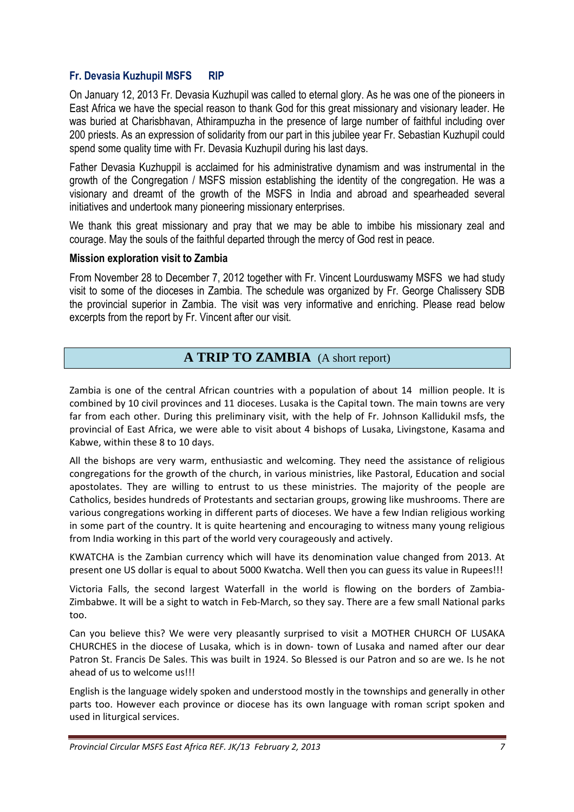# **Fr. Devasia Kuzhupil MSFS RIP**

On January 12, 2013 Fr. Devasia Kuzhupil was called to eternal glory. As he was one of the pioneers in East Africa we have the special reason to thank God for this great missionary and visionary leader. He was buried at Charisbhavan, Athirampuzha in the presence of large number of faithful including over 200 priests. As an expression of solidarity from our part in this jubilee year Fr. Sebastian Kuzhupil could spend some quality time with Fr. Devasia Kuzhupil during his last days.

Father Devasia Kuzhuppil is acclaimed for his administrative dynamism and was instrumental in the growth of the Congregation / MSFS mission establishing the identity of the congregation. He was a visionary and dreamt of the growth of the MSFS in India and abroad and spearheaded several initiatives and undertook many pioneering missionary enterprises.

We thank this great missionary and pray that we may be able to imbibe his missionary zeal and courage. May the souls of the faithful departed through the mercy of God rest in peace.

#### **Mission exploration visit to Zambia**

From November 28 to December 7, 2012 together with Fr. Vincent Lourduswamy MSFS we had study visit to some of the dioceses in Zambia. The schedule was organized by Fr. George Chalissery SDB the provincial superior in Zambia. The visit was very informative and enriching. Please read below excerpts from the report by Fr. Vincent after our visit.

# **A TRIP TO ZAMBIA** (A short report)

Zambia is one of the central African countries with a population of about 14 million people. It is combined by 10 civil provinces and 11 dioceses. Lusaka is the Capital town. The main towns are very far from each other. During this preliminary visit, with the help of Fr. Johnson Kallidukil msfs, the provincial of East Africa, we were able to visit about 4 bishops of Lusaka, Livingstone, Kasama and Kabwe, within these 8 to 10 days.

All the bishops are very warm, enthusiastic and welcoming. They need the assistance of religious congregations for the growth of the church, in various ministries, like Pastoral, Education and social apostolates. They are willing to entrust to us these ministries. The majority of the people are Catholics, besides hundreds of Protestants and sectarian groups, growing like mushrooms. There are various congregations working in different parts of dioceses. We have a few Indian religious working in some part of the country. It is quite heartening and encouraging to witness many young religious from India working in this part of the world very courageously and actively.

KWATCHA is the Zambian currency which will have its denomination value changed from 2013. At present one US dollar is equal to about 5000 Kwatcha. Well then you can guess its value in Rupees!!!

Victoria Falls, the second largest Waterfall in the world is flowing on the borders of Zambia-Zimbabwe. It will be a sight to watch in Feb-March, so they say. There are a few small National parks too.

Can you believe this? We were very pleasantly surprised to visit a MOTHER CHURCH OF LUSAKA CHURCHES in the diocese of Lusaka, which is in down- town of Lusaka and named after our dear Patron St. Francis De Sales. This was built in 1924. So Blessed is our Patron and so are we. Is he not ahead of us to welcome us!!!

English is the language widely spoken and understood mostly in the townships and generally in other parts too. However each province or diocese has its own language with roman script spoken and used in liturgical services.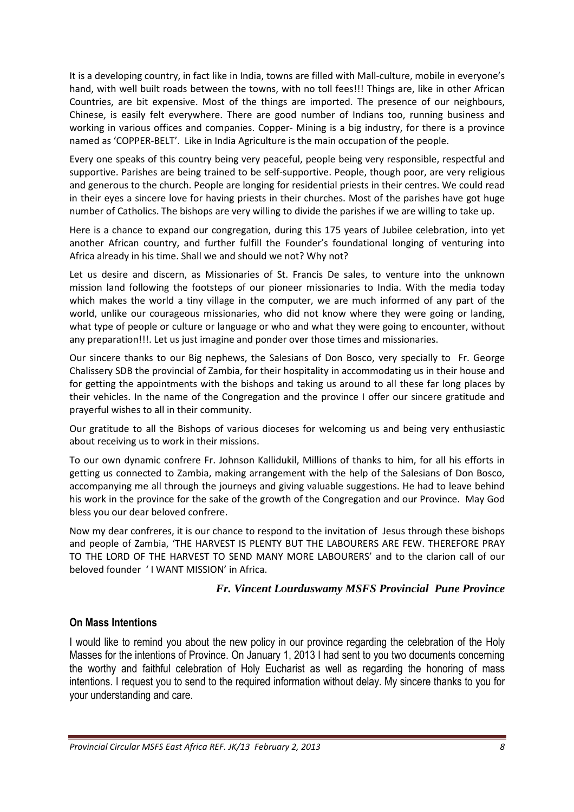It is a developing country, in fact like in India, towns are filled with Mall-culture, mobile in everyone's hand, with well built roads between the towns, with no toll fees!!! Things are, like in other African Countries, are bit expensive. Most of the things are imported. The presence of our neighbours, Chinese, is easily felt everywhere. There are good number of Indians too, running business and working in various offices and companies. Copper- Mining is a big industry, for there is a province named as 'COPPER-BELT'. Like in India Agriculture is the main occupation of the people.

Every one speaks of this country being very peaceful, people being very responsible, respectful and supportive. Parishes are being trained to be self-supportive. People, though poor, are very religious and generous to the church. People are longing for residential priests in their centres. We could read in their eyes a sincere love for having priests in their churches. Most of the parishes have got huge number of Catholics. The bishops are very willing to divide the parishes if we are willing to take up.

Here is a chance to expand our congregation, during this 175 years of Jubilee celebration, into yet another African country, and further fulfill the Founder's foundational longing of venturing into Africa already in his time. Shall we and should we not? Why not?

Let us desire and discern, as Missionaries of St. Francis De sales, to venture into the unknown mission land following the footsteps of our pioneer missionaries to India. With the media today which makes the world a tiny village in the computer, we are much informed of any part of the world, unlike our courageous missionaries, who did not know where they were going or landing, what type of people or culture or language or who and what they were going to encounter, without any preparation!!!. Let us just imagine and ponder over those times and missionaries.

Our sincere thanks to our Big nephews, the Salesians of Don Bosco, very specially to Fr. George Chalissery SDB the provincial of Zambia, for their hospitality in accommodating us in their house and for getting the appointments with the bishops and taking us around to all these far long places by their vehicles. In the name of the Congregation and the province I offer our sincere gratitude and prayerful wishes to all in their community.

Our gratitude to all the Bishops of various dioceses for welcoming us and being very enthusiastic about receiving us to work in their missions.

To our own dynamic confrere Fr. Johnson Kallidukil, Millions of thanks to him, for all his efforts in getting us connected to Zambia, making arrangement with the help of the Salesians of Don Bosco, accompanying me all through the journeys and giving valuable suggestions. He had to leave behind his work in the province for the sake of the growth of the Congregation and our Province. May God bless you our dear beloved confrere.

Now my dear confreres, it is our chance to respond to the invitation of Jesus through these bishops and people of Zambia, 'THE HARVEST IS PLENTY BUT THE LABOURERS ARE FEW. THEREFORE PRAY TO THE LORD OF THE HARVEST TO SEND MANY MORE LABOURERS' and to the clarion call of our beloved founder ' I WANT MISSION' in Africa.

# *Fr. Vincent Lourduswamy MSFS Provincial Pune Province*

### **On Mass Intentions**

I would like to remind you about the new policy in our province regarding the celebration of the Holy Masses for the intentions of Province. On January 1, 2013 I had sent to you two documents concerning the worthy and faithful celebration of Holy Eucharist as well as regarding the honoring of mass intentions. I request you to send to the required information without delay. My sincere thanks to you for your understanding and care.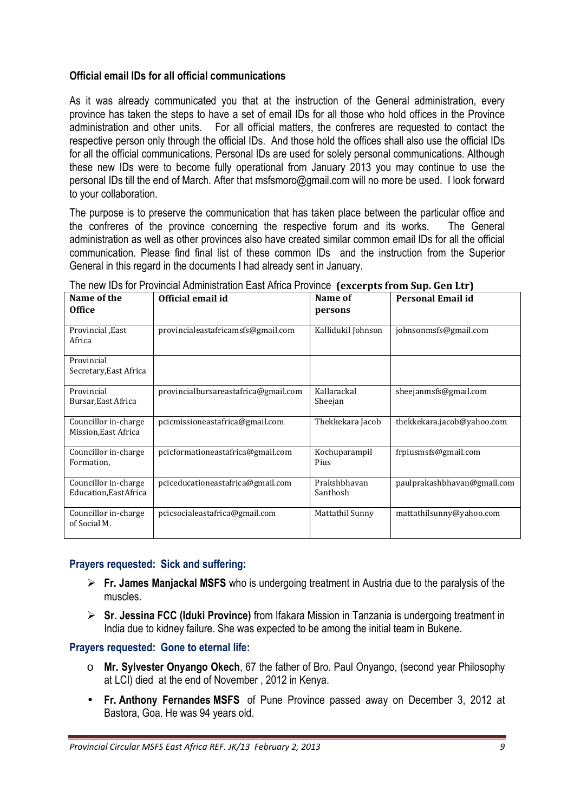# **Official email IDs for all official communications**

As it was already communicated you that at the instruction of the General administration, every province has taken the steps to have a set of email IDs for all those who hold offices in the Province administration and other units. For all official matters, the confreres are requested to contact the respective person only through the official IDs. And those hold the offices shall also use the official IDs for all the official communications. Personal IDs are used for solely personal communications. Although these new IDs were to become fully operational from January 2013 you may continue to use the personal IDs till the end of March. After that msfsmoro@gmail.com will no more be used. I look forward to your collaboration.

The purpose is to preserve the communication that has taken place between the particular office and the confreres of the province concerning the respective forum and its works. The General administration as well as other provinces also have created similar common email IDs for all the official communication. Please find final list of these common IDs and the instruction from the Superior General in this regard in the documents I had already sent in January.

| Name of the                                    | Official email id                    | Name of                  | <b>Personal Email id</b>    |
|------------------------------------------------|--------------------------------------|--------------------------|-----------------------------|
| <b>Office</b>                                  |                                      | persons                  |                             |
| Provincial East<br>Africa                      | provincialeastafricamsfs@gmail.com   | Kallidukil Johnson       | johnsonmsfs@gmail.com       |
| Provincial<br>Secretary, East Africa           |                                      |                          |                             |
| Provincial<br>Bursar, East Africa              | provincialbursareastafrica@gmail.com | Kallarackal<br>Sheejan   | sheejanmsfs@gmail.com       |
| Councillor in-charge<br>Mission, East Africa   | pcicmissioneastafrica@gmail.com      | Thekkekara Jacob         | thekkekara.jacob@yahoo.com  |
| Councillor in-charge<br>Formation,             | pcicformationeastafrica@gmail.com    | Kochuparampil<br>Pius    | frpiusmsfs@gmail.com        |
| Councillor in-charge<br>Education, East Africa | pciceducationeastafrica@gmail.com    | Prakshbhavan<br>Santhosh | paulprakashbhavan@gmail.com |
| Councillor in-charge<br>of Social M.           | pcicsocialeastafrica@gmail.com       | Mattathil Sunny          | mattathilsunny@yahoo.com    |

The new IDs for Provincial Administration East Africa Province **(excerpts from Sup. Gen Ltr)** 

# **Prayers requested: Sick and suffering:**

- **Fr. James Manjackal MSFS** who is undergoing treatment in Austria due to the paralysis of the muscles.
- **Sr. Jessina FCC (Iduki Province)** from Ifakara Mission in Tanzania is undergoing treatment in India due to kidney failure. She was expected to be among the initial team in Bukene.

### **Prayers requested: Gone to eternal life:**

- o **Mr. Sylvester Onyango Okech**, 67 the father of Bro. Paul Onyango, (second year Philosophy at LCI) died at the end of November , 2012 in Kenya.
- **Fr. Anthony Fernandes MSFS** of Pune Province passed away on December 3, 2012 at Bastora, Goa. He was 94 years old.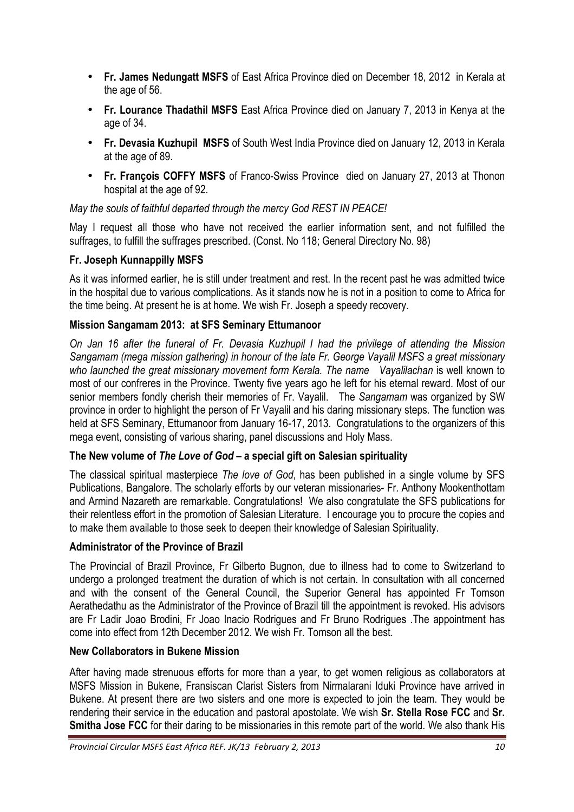- **Fr. James Nedungatt MSFS** of East Africa Province died on December 18, 2012 in Kerala at the age of 56.
- **Fr. Lourance Thadathil MSFS** East Africa Province died on January 7, 2013 in Kenya at the age of 34.
- **Fr. Devasia Kuzhupil MSFS** of South West India Province died on January 12, 2013 in Kerala at the age of 89.
- **Fr. François COFFY MSFS** of Franco-Swiss Province died on January 27, 2013 at Thonon hospital at the age of 92.

*May the souls of faithful departed through the mercy God REST IN PEACE!* 

May I request all those who have not received the earlier information sent, and not fulfilled the suffrages, to fulfill the suffrages prescribed. (Const. No 118; General Directory No. 98)

# **Fr. Joseph Kunnappilly MSFS**

As it was informed earlier, he is still under treatment and rest. In the recent past he was admitted twice in the hospital due to various complications. As it stands now he is not in a position to come to Africa for the time being. At present he is at home. We wish Fr. Joseph a speedy recovery.

# **Mission Sangamam 2013: at SFS Seminary Ettumanoor**

*On Jan 16 after the funeral of Fr. Devasia Kuzhupil I had the privilege of attending the Mission Sangamam (mega mission gathering) in honour of the late Fr. George Vayalil MSFS a great missionary who launched the great missionary movement form Kerala. The name Vayalilachan* is well known to most of our confreres in the Province. Twenty five years ago he left for his eternal reward. Most of our senior members fondly cherish their memories of Fr. Vayalil. The *Sangamam* was organized by SW province in order to highlight the person of Fr Vayalil and his daring missionary steps. The function was held at SFS Seminary, Ettumanoor from January 16-17, 2013. Congratulations to the organizers of this mega event, consisting of various sharing, panel discussions and Holy Mass.

### **The New volume of** *The Love of God* **– a special gift on Salesian spirituality**

The classical spiritual masterpiece *The love of God*, has been published in a single volume by SFS Publications, Bangalore. The scholarly efforts by our veteran missionaries- Fr. Anthony Mookenthottam and Armind Nazareth are remarkable. Congratulations! We also congratulate the SFS publications for their relentless effort in the promotion of Salesian Literature. I encourage you to procure the copies and to make them available to those seek to deepen their knowledge of Salesian Spirituality.

### **Administrator of the Province of Brazil**

The Provincial of Brazil Province, Fr Gilberto Bugnon, due to illness had to come to Switzerland to undergo a prolonged treatment the duration of which is not certain. In consultation with all concerned and with the consent of the General Council, the Superior General has appointed Fr Tomson Aerathedathu as the Administrator of the Province of Brazil till the appointment is revoked. His advisors are Fr Ladir Joao Brodini, Fr Joao Inacio Rodrigues and Fr Bruno Rodrigues .The appointment has come into effect from 12th December 2012. We wish Fr. Tomson all the best.

### **New Collaborators in Bukene Mission**

After having made strenuous efforts for more than a year, to get women religious as collaborators at MSFS Mission in Bukene, Fransiscan Clarist Sisters from Nirmalarani Iduki Province have arrived in Bukene. At present there are two sisters and one more is expected to join the team. They would be rendering their service in the education and pastoral apostolate. We wish **Sr. Stella Rose FCC** and **Sr. Smitha Jose FCC** for their daring to be missionaries in this remote part of the world. We also thank His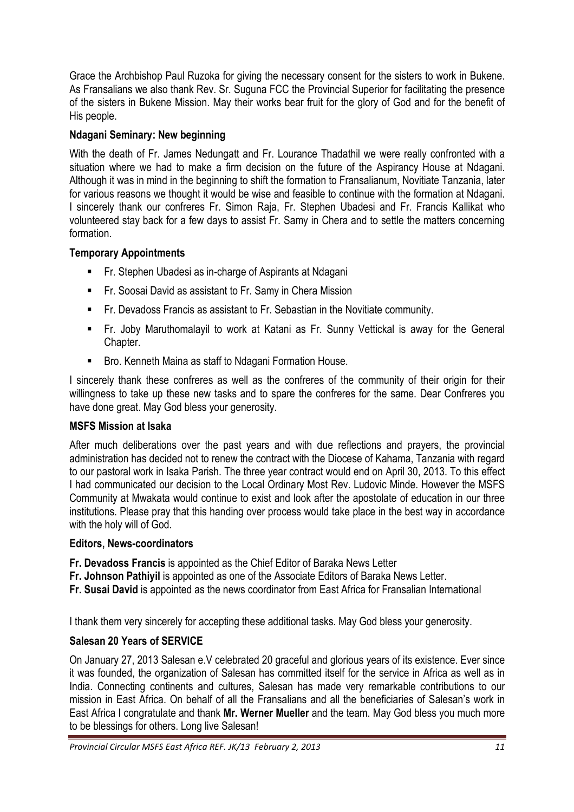Grace the Archbishop Paul Ruzoka for giving the necessary consent for the sisters to work in Bukene. As Fransalians we also thank Rev. Sr. Suguna FCC the Provincial Superior for facilitating the presence of the sisters in Bukene Mission. May their works bear fruit for the glory of God and for the benefit of His people.

# **Ndagani Seminary: New beginning**

With the death of Fr. James Nedungatt and Fr. Lourance Thadathil we were really confronted with a situation where we had to make a firm decision on the future of the Aspirancy House at Ndagani. Although it was in mind in the beginning to shift the formation to Fransalianum, Novitiate Tanzania, later for various reasons we thought it would be wise and feasible to continue with the formation at Ndagani. I sincerely thank our confreres Fr. Simon Raja, Fr. Stephen Ubadesi and Fr. Francis Kallikat who volunteered stay back for a few days to assist Fr. Samy in Chera and to settle the matters concerning formation.

# **Temporary Appointments**

- **Fr. Stephen Ubadesi as in-charge of Aspirants at Ndagani**
- **FR.** Soosai David as assistant to Fr. Samy in Chera Mission
- -Fr. Devadoss Francis as assistant to Fr. Sebastian in the Novitiate community.
- - Fr. Joby Maruthomalayil to work at Katani as Fr. Sunny Vettickal is away for the General Chapter.
- **Bro. Kenneth Maina as staff to Ndagani Formation House.**

I sincerely thank these confreres as well as the confreres of the community of their origin for their willingness to take up these new tasks and to spare the confreres for the same. Dear Confreres you have done great. May God bless your generosity.

# **MSFS Mission at Isaka**

After much deliberations over the past years and with due reflections and prayers, the provincial administration has decided not to renew the contract with the Diocese of Kahama, Tanzania with regard to our pastoral work in Isaka Parish. The three year contract would end on April 30, 2013. To this effect I had communicated our decision to the Local Ordinary Most Rev. Ludovic Minde. However the MSFS Community at Mwakata would continue to exist and look after the apostolate of education in our three institutions. Please pray that this handing over process would take place in the best way in accordance with the holy will of God.

### **Editors, News-coordinators**

**Fr. Devadoss Francis** is appointed as the Chief Editor of Baraka News Letter

- **Fr. Johnson Pathivil** is appointed as one of the Associate Editors of Baraka News Letter.
- **Fr. Susai David** is appointed as the news coordinator from East Africa for Fransalian International

I thank them very sincerely for accepting these additional tasks. May God bless your generosity.

# **Salesan 20 Years of SERVICE**

On January 27, 2013 Salesan e.V celebrated 20 graceful and glorious years of its existence. Ever since it was founded, the organization of Salesan has committed itself for the service in Africa as well as in India. Connecting continents and cultures, Salesan has made very remarkable contributions to our mission in East Africa. On behalf of all the Fransalians and all the beneficiaries of Salesan's work in East Africa I congratulate and thank **Mr. Werner Mueller** and the team. May God bless you much more to be blessings for others. Long live Salesan!